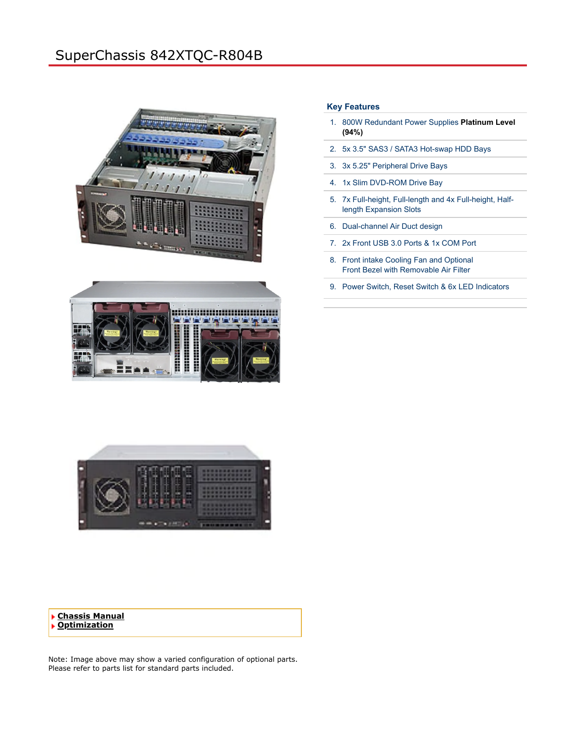# SuperChassis 842XTQC-R804B







# **Key Features**

- 1. 800W Redundant Power Supplies **Platinum Level (94%)**
- 2. 5x 3.5" SAS3 / SATA3 Hot-swap HDD Bays
- 3. 3x 5.25" Peripheral Drive Bays
- 4. 1x Slim DVD-ROM Drive Bay
- 5. 7x Full-height, Full-length and 4x Full-height, Halflength Expansion Slots
- 6. Dual-channel Air Duct design
- 7. 2x Front USB 3.0 Ports & 1x COM Port
- 8. Front intake Cooling Fan and Optional Front Bezel with Removable Air Filter
- 9. Power Switch, Reset Switch & 6x LED Indicators

**[Chassis Manual](https://www.supermicro.com/manuals/chassis/4U/SC842.pdf) [Optimization](#page-1-0)**

Note: Image above may show a varied configuration of optional parts. Please refer to parts list for standard parts included.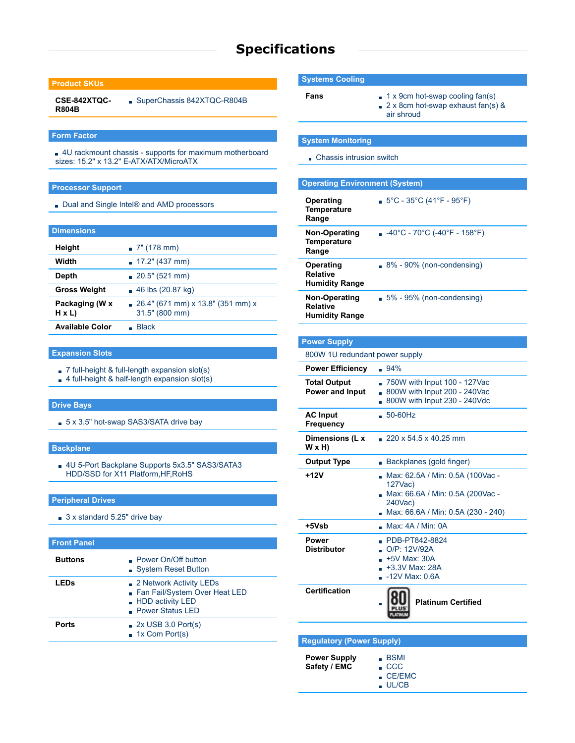# **Specifications**

## **Product SKUs**

**CSE-842XTQC-R804B** SuperChassis 842XTQC-R804B

#### **Form Factor**

4U rackmount chassis - supports for maximum motherboard sizes: 15.2" x 13.2" E-ATX/ATX/MicroATX

### **Processor Support**

Dual and Single Intel<sup>®</sup> and AMD processors

#### **Dimensions**

| Height                         | $\sqrt{7}$ " (178 mm)                                  |
|--------------------------------|--------------------------------------------------------|
| Width                          | $17.2$ " (437 mm)                                      |
| Depth                          | $\sqrt{20.5}$ " (521 mm)                               |
| <b>Gross Weight</b>            | $\sqrt{46}$ lbs (20.87 kg)                             |
| Packaging (W x<br>$H \times L$ | $26.4$ " (671 mm) x 13.8" (351 mm) x<br>31.5" (800 mm) |
| <b>Available Color</b>         | Blace                                                  |

#### **Expansion Slots**

- 7 full-height & full-length expansion slot(s)
- 4 full-height & half-length expansion slot(s)

#### **Drive Bays**

5 x 3.5" hot-swap SAS3/SATA drive bay

## **Backplane**

4U 5-Port Backplane Supports 5x3.5" SAS3/SATA3 HDD/SSD for X11 Platform,HF,RoHS

#### **Peripheral Drives**

3 x standard 5.25" drive bay

## **Front Panel**

<span id="page-1-0"></span>

| <b>Buttons</b> | • Power On/Off button<br>System Reset Button                                                                   |
|----------------|----------------------------------------------------------------------------------------------------------------|
| <b>LEDs</b>    | 2 Network Activity LEDs<br>Fan Fail/System Over Heat LED<br><b>HDD</b> activity LED<br><b>Power Status LED</b> |
| <b>Ports</b>   | $\sqrt{2}$ 2x USB 3.0 Port(s)<br>$\blacksquare$ 1x Com Port(s)                                                 |

## **Systems Cooling**

- 
- **Fans** 1 x 9cm hot-swap cooling fan(s) 2 x 8cm hot-swap exhaust fan(s) & air shroud

#### **System Monitoring**

Chassis intrusion switch

| <b>Operating Environment (System)</b>                     |                                                                         |  |  |
|-----------------------------------------------------------|-------------------------------------------------------------------------|--|--|
| Operating<br>Temperature<br>Range                         | $5^{\circ}$ C - 35 $^{\circ}$ C (41 $^{\circ}$ F - 95 $^{\circ}$ F)     |  |  |
| Non-Operating<br>Temperature<br>Range                     | $-40^{\circ}$ C - 70 $^{\circ}$ C (-40 $^{\circ}$ F - 158 $^{\circ}$ F) |  |  |
| Operating<br><b>Relative</b><br><b>Humidity Range</b>     | $8\%$ - 90% (non-condensing)                                            |  |  |
| Non-Operating<br><b>Relative</b><br><b>Humidity Range</b> | $5\%$ - 95% (non-condensing)                                            |  |  |

#### **Power Supply**

#### 800W 1U redundant power supply

| <b>Power Efficiency</b>                | .94%                                                                                                                             |
|----------------------------------------|----------------------------------------------------------------------------------------------------------------------------------|
| <b>Total Output</b><br>Power and Input | 750W with Input 100 - 127Vac<br>÷.<br>800W with Input 200 - 240Vac<br>800W with Input 230 - 240Vdc                               |
| <b>AC Input</b><br><b>Frequency</b>    | $-50-60$ Hz                                                                                                                      |
| Dimensions (L x<br>W x H)              | $220 \times 54.5 \times 40.25$ mm                                                                                                |
| <b>Output Type</b>                     | Backplanes (gold finger)                                                                                                         |
| +12V                                   | Max: 62.5A / Min: 0.5A (100Vac -<br>127Vac)<br>Max: 66.6A / Min: 0.5A (200Vac -<br>240Vac)<br>Max: 66.6A / Min: 0.5A (230 - 240) |
| +5Vsb                                  | Max: 4A / Min: 0A                                                                                                                |
| Power<br><b>Distributor</b>            | PDB-PT842-8824<br>O/P: 12V/92A<br>$+5V$ Max: 30A<br>$+3.3V$ Max: 28A<br>$-12V$ Max: $0.6A$                                       |
| <b>Certification</b>                   | <b>Platinum Certified</b>                                                                                                        |
|                                        |                                                                                                                                  |

# **Regulatory (Power Supply)**

- **Power Supply Safety / EMC**
- BSMI  $\sqrt{C}$
- CE/EMC
- UL/CB
- 
- 
- 
- - -